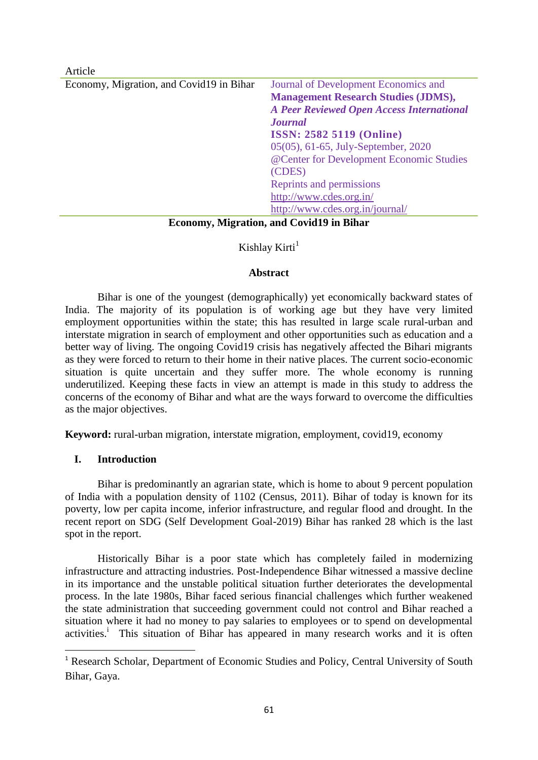| Article                                                                                                                                                                                                                                                                                               |                                                  |
|-------------------------------------------------------------------------------------------------------------------------------------------------------------------------------------------------------------------------------------------------------------------------------------------------------|--------------------------------------------------|
| Economy, Migration, and Covid19 in Bihar                                                                                                                                                                                                                                                              | Journal of Development Economics and             |
|                                                                                                                                                                                                                                                                                                       | <b>Management Research Studies (JDMS),</b>       |
|                                                                                                                                                                                                                                                                                                       | <b>A Peer Reviewed Open Access International</b> |
|                                                                                                                                                                                                                                                                                                       | <b>Journal</b>                                   |
|                                                                                                                                                                                                                                                                                                       | <b>ISSN: 2582 5119 (Online)</b>                  |
|                                                                                                                                                                                                                                                                                                       | 05(05), 61-65, July-September, 2020              |
|                                                                                                                                                                                                                                                                                                       | @Center for Development Economic Studies         |
|                                                                                                                                                                                                                                                                                                       | (CDES)                                           |
|                                                                                                                                                                                                                                                                                                       | Reprints and permissions                         |
|                                                                                                                                                                                                                                                                                                       | http://www.cdes.org.in/                          |
|                                                                                                                                                                                                                                                                                                       | http://www.cdes.org.in/journal/                  |
| $\mathbf{E}$ and $\mathbf{M}^*$ in $\mathbf{A}^*$ in $\mathbf{A}^*$ in $\mathbf{M}^*$ in $\mathbf{M}$ in $\mathbf{M}$ in $\mathbf{M}$ in $\mathbf{M}$ in $\mathbf{M}$ in $\mathbf{M}$ in $\mathbf{M}$ in $\mathbf{M}$ in $\mathbf{M}$ in $\mathbf{M}$ in $\mathbf{M}$ in $\mathbf{M}$ in $\mathbf{M}$ |                                                  |

### **Economy, Migration, and Covid19 in Bihar**

# Kishlay Kirti $<sup>1</sup>$ </sup>

### **Abstract**

Bihar is one of the youngest (demographically) yet economically backward states of India. The majority of its population is of working age but they have very limited employment opportunities within the state; this has resulted in large scale rural-urban and interstate migration in search of employment and other opportunities such as education and a better way of living. The ongoing Covid19 crisis has negatively affected the Bihari migrants as they were forced to return to their home in their native places. The current socio-economic situation is quite uncertain and they suffer more. The whole economy is running underutilized. Keeping these facts in view an attempt is made in this study to address the concerns of the economy of Bihar and what are the ways forward to overcome the difficulties as the major objectives.

**Keyword:** rural-urban migration, interstate migration, employment, covid19, economy

# **I. Introduction**

1

Bihar is predominantly an agrarian state, which is home to about 9 percent population of India with a population density of 1102 (Census, 2011). Bihar of today is known for its poverty, low per capita income, inferior infrastructure, and regular flood and drought. In the recent report on SDG (Self Development Goal-2019) Bihar has ranked 28 which is the last spot in the report.

Historically Bihar is a poor state which has completely failed in modernizing infrastructure and attracting industries. Post-Independence Bihar witnessed a massive decline in its importance and the unstable political situation further deteriorates the developmental process. In the late 1980s, Bihar faced serious financial challenges which further weakened the state administration that succeeding government could not control and Bihar reached a situation where it had no money to pay salaries to employees or to spend on developmental activities.<sup>i</sup> This situation of Bihar has appeared in many research works and it is often

<sup>&</sup>lt;sup>1</sup> Research Scholar, Department of Economic Studies and Policy, Central University of South Bihar, Gaya.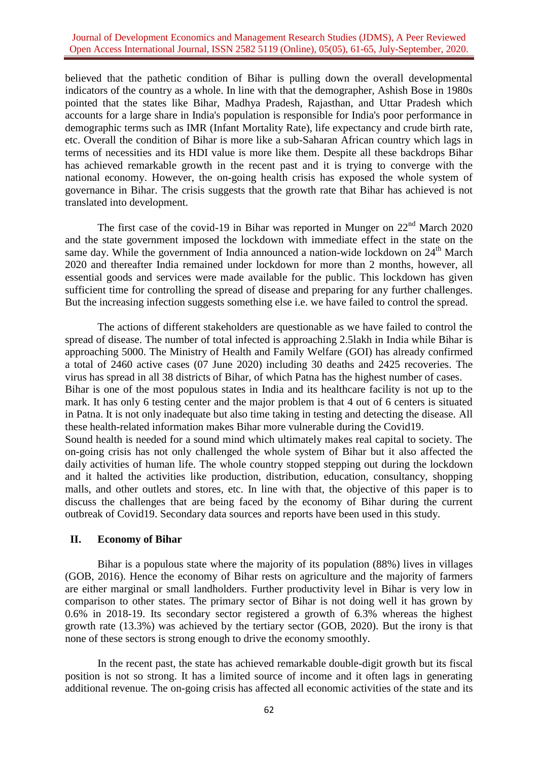#### Journal of Development Economics and Management Research Studies (JDMS), A Peer Reviewed Open Access International Journal, ISSN 2582 5119 (Online), 05(05), 61-65, July-September, 2020.

believed that the pathetic condition of Bihar is pulling down the overall developmental indicators of the country as a whole. In line with that the demographer, Ashish Bose in 1980s pointed that the states like Bihar, Madhya Pradesh, Rajasthan, and Uttar Pradesh which accounts for a large share in India's population is responsible for India's poor performance in demographic terms such as IMR (Infant Mortality Rate), life expectancy and crude birth rate, etc. Overall the condition of Bihar is more like a sub-Saharan African country which lags in terms of necessities and its HDI value is more like them. Despite all these backdrops Bihar has achieved remarkable growth in the recent past and it is trying to converge with the national economy. However, the on-going health crisis has exposed the whole system of governance in Bihar. The crisis suggests that the growth rate that Bihar has achieved is not translated into development.

The first case of the covid-19 in Bihar was reported in Munger on  $22<sup>nd</sup>$  March 2020 and the state government imposed the lockdown with immediate effect in the state on the same day. While the government of India announced a nation-wide lockdown on  $24<sup>th</sup>$  March 2020 and thereafter India remained under lockdown for more than 2 months, however, all essential goods and services were made available for the public. This lockdown has given sufficient time for controlling the spread of disease and preparing for any further challenges. But the increasing infection suggests something else i.e. we have failed to control the spread.

The actions of different stakeholders are questionable as we have failed to control the spread of disease. The number of total infected is approaching 2.5lakh in India while Bihar is approaching 5000. The Ministry of Health and Family Welfare (GOI) has already confirmed a total of 2460 active cases (07 June 2020) including 30 deaths and 2425 recoveries. The virus has spread in all 38 districts of Bihar, of which Patna has the highest number of cases. Bihar is one of the most populous states in India and its healthcare facility is not up to the mark. It has only 6 testing center and the major problem is that 4 out of 6 centers is situated in Patna. It is not only inadequate but also time taking in testing and detecting the disease. All these health-related information makes Bihar more vulnerable during the Covid19. Sound health is needed for a sound mind which ultimately makes real capital to society. The on-going crisis has not only challenged the whole system of Bihar but it also affected the daily activities of human life. The whole country stopped stepping out during the lockdown and it halted the activities like production, distribution, education, consultancy, shopping malls, and other outlets and stores, etc. In line with that, the objective of this paper is to discuss the challenges that are being faced by the economy of Bihar during the current outbreak of Covid19. Secondary data sources and reports have been used in this study.

### **II. Economy of Bihar**

Bihar is a populous state where the majority of its population (88%) lives in villages (GOB, 2016). Hence the economy of Bihar rests on agriculture and the majority of farmers are either marginal or small landholders. Further productivity level in Bihar is very low in comparison to other states. The primary sector of Bihar is not doing well it has grown by 0.6% in 2018-19. Its secondary sector registered a growth of 6.3% whereas the highest growth rate (13.3%) was achieved by the tertiary sector (GOB, 2020). But the irony is that none of these sectors is strong enough to drive the economy smoothly.

In the recent past, the state has achieved remarkable double-digit growth but its fiscal position is not so strong. It has a limited source of income and it often lags in generating additional revenue. The on-going crisis has affected all economic activities of the state and its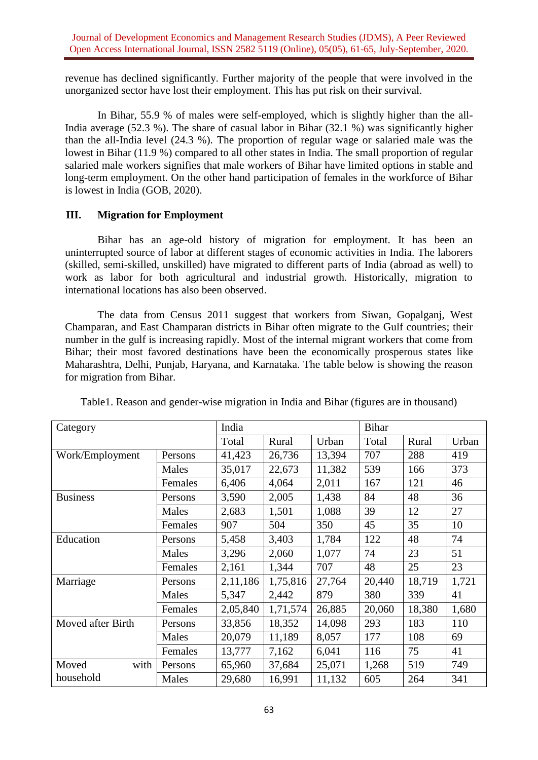revenue has declined significantly. Further majority of the people that were involved in the unorganized sector have lost their employment. This has put risk on their survival.

In Bihar, 55.9 % of males were self-employed, which is slightly higher than the all-India average (52.3 %). The share of casual labor in Bihar (32.1 %) was significantly higher than the all-India level (24.3 %). The proportion of regular wage or salaried male was the lowest in Bihar (11.9 %) compared to all other states in India. The small proportion of regular salaried male workers signifies that male workers of Bihar have limited options in stable and long-term employment. On the other hand participation of females in the workforce of Bihar is lowest in India (GOB, 2020).

# **III. Migration for Employment**

Bihar has an age-old history of migration for employment. It has been an uninterrupted source of labor at different stages of economic activities in India. The laborers (skilled, semi-skilled, unskilled) have migrated to different parts of India (abroad as well) to work as labor for both agricultural and industrial growth. Historically, migration to international locations has also been observed.

The data from Census 2011 suggest that workers from Siwan, Gopalganj, West Champaran, and East Champaran districts in Bihar often migrate to the Gulf countries; their number in the gulf is increasing rapidly. Most of the internal migrant workers that come from Bihar; their most favored destinations have been the economically prosperous states like Maharashtra, Delhi, Punjab, Haryana, and Karnataka. The table below is showing the reason for migration from Bihar.

| Category          |         | India    |          |        | <b>Bihar</b> |        |       |
|-------------------|---------|----------|----------|--------|--------------|--------|-------|
|                   |         | Total    | Rural    | Urban  | Total        | Rural  | Urban |
| Work/Employment   | Persons | 41,423   | 26,736   | 13,394 | 707          | 288    | 419   |
|                   | Males   | 35,017   | 22,673   | 11,382 | 539          | 166    | 373   |
|                   | Females | 6,406    | 4,064    | 2,011  | 167          | 121    | 46    |
| <b>Business</b>   | Persons | 3,590    | 2,005    | 1,438  | 84           | 48     | 36    |
|                   | Males   | 2,683    | 1,501    | 1,088  | 39           | 12     | 27    |
|                   | Females | 907      | 504      | 350    | 45           | 35     | 10    |
| Education         | Persons | 5,458    | 3,403    | 1,784  | 122          | 48     | 74    |
|                   | Males   | 3,296    | 2,060    | 1,077  | 74           | 23     | 51    |
|                   | Females | 2,161    | 1,344    | 707    | 48           | 25     | 23    |
| Marriage          | Persons | 2,11,186 | 1,75,816 | 27,764 | 20,440       | 18,719 | 1,721 |
|                   | Males   | 5,347    | 2,442    | 879    | 380          | 339    | 41    |
|                   | Females | 2,05,840 | 1,71,574 | 26,885 | 20,060       | 18,380 | 1,680 |
| Moved after Birth | Persons | 33,856   | 18,352   | 14,098 | 293          | 183    | 110   |
|                   | Males   | 20,079   | 11,189   | 8,057  | 177          | 108    | 69    |
|                   | Females | 13,777   | 7,162    | 6,041  | 116          | 75     | 41    |
| with<br>Moved     | Persons | 65,960   | 37,684   | 25,071 | 1,268        | 519    | 749   |
| household         | Males   | 29,680   | 16,991   | 11,132 | 605          | 264    | 341   |

Table1. Reason and gender-wise migration in India and Bihar (figures are in thousand)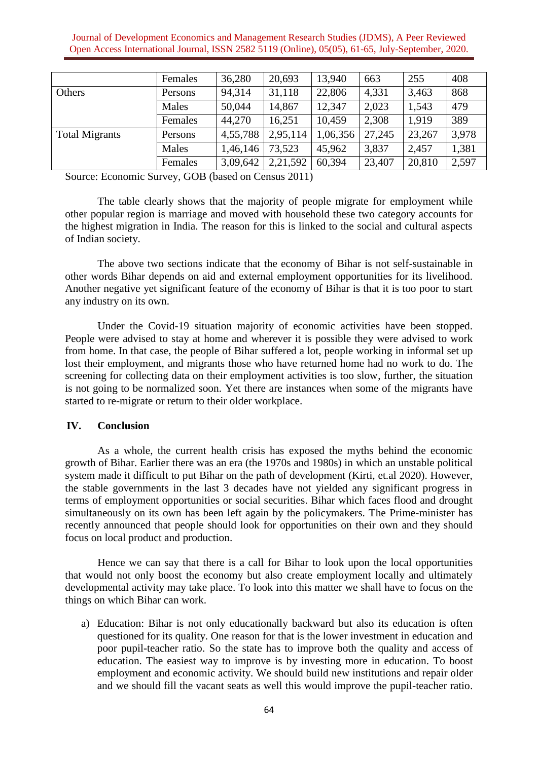Journal of Development Economics and Management Research Studies (JDMS), A Peer Reviewed Open Access International Journal, ISSN 2582 5119 (Online), 05(05), 61-65, July-September, 2020.

|                       | Females | 36,280   | 20,693   | 13,940   | 663    | 255    | 408   |
|-----------------------|---------|----------|----------|----------|--------|--------|-------|
| Others                | Persons | 94,314   | 31,118   | 22,806   | 4,331  | 3,463  | 868   |
|                       | Males   | 50,044   | 14,867   | 12,347   | 2,023  | 1,543  | 479   |
|                       | Females | 44,270   | 16,251   | 10,459   | 2,308  | 1,919  | 389   |
| <b>Total Migrants</b> | Persons | 4,55,788 | 2,95,114 | 1,06,356 | 27,245 | 23,267 | 3,978 |
|                       | Males   | 1,46,146 | 73,523   | 45,962   | 3,837  | 2,457  | 1,381 |
|                       | Females | 3,09,642 | 2,21,592 | 60,394   | 23,407 | 20,810 | 2,597 |

Source: Economic Survey, GOB (based on Census 2011)

The table clearly shows that the majority of people migrate for employment while other popular region is marriage and moved with household these two category accounts for the highest migration in India. The reason for this is linked to the social and cultural aspects of Indian society.

The above two sections indicate that the economy of Bihar is not self-sustainable in other words Bihar depends on aid and external employment opportunities for its livelihood. Another negative yet significant feature of the economy of Bihar is that it is too poor to start any industry on its own.

Under the Covid-19 situation majority of economic activities have been stopped. People were advised to stay at home and wherever it is possible they were advised to work from home. In that case, the people of Bihar suffered a lot, people working in informal set up lost their employment, and migrants those who have returned home had no work to do. The screening for collecting data on their employment activities is too slow, further, the situation is not going to be normalized soon. Yet there are instances when some of the migrants have started to re-migrate or return to their older workplace.

#### **IV. Conclusion**

As a whole, the current health crisis has exposed the myths behind the economic growth of Bihar. Earlier there was an era (the 1970s and 1980s) in which an unstable political system made it difficult to put Bihar on the path of development (Kirti, et.al 2020). However, the stable governments in the last 3 decades have not yielded any significant progress in terms of employment opportunities or social securities. Bihar which faces flood and drought simultaneously on its own has been left again by the policymakers. The Prime-minister has recently announced that people should look for opportunities on their own and they should focus on local product and production.

Hence we can say that there is a call for Bihar to look upon the local opportunities that would not only boost the economy but also create employment locally and ultimately developmental activity may take place. To look into this matter we shall have to focus on the things on which Bihar can work.

a) Education: Bihar is not only educationally backward but also its education is often questioned for its quality. One reason for that is the lower investment in education and poor pupil-teacher ratio. So the state has to improve both the quality and access of education. The easiest way to improve is by investing more in education. To boost employment and economic activity. We should build new institutions and repair older and we should fill the vacant seats as well this would improve the pupil-teacher ratio.